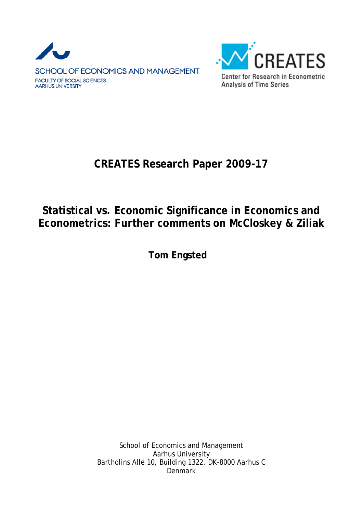



## **CREATES Research Paper 2009-17**

## **Statistical vs. Economic Significance in Economics and Econometrics: Further comments on McCloskey & Ziliak**

**Tom Engsted** 

School of Economics and Management Aarhus University Bartholins Allé 10, Building 1322, DK-8000 Aarhus C **Denmark**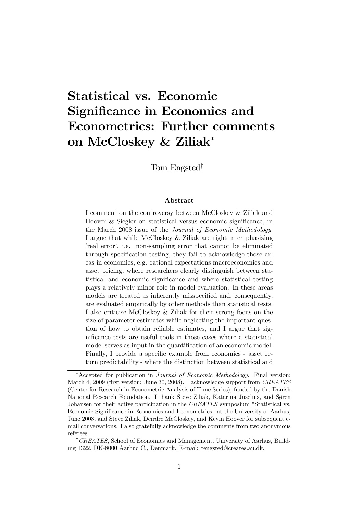# Statistical vs. Economic Significance in Economics and Econometrics: Further comments on McCloskey & Ziliak<sup>∗</sup>

Tom Engsted†

#### Abstract

I comment on the controversy between McCloskey & Ziliak and Hoover & Siegler on statistical versus economic significance, in the March 2008 issue of the Journal of Economic Methodology. I argue that while McCloskey & Ziliak are right in emphasizing 'real error', i.e. non-sampling error that cannot be eliminated through specification testing, they fail to acknowledge those areas in economics, e.g. rational expectations macroeconomics and asset pricing, where researchers clearly distinguish between statistical and economic significance and where statistical testing plays a relatively minor role in model evaluation. In these areas models are treated as inherently misspecified and, consequently, are evaluated empirically by other methods than statistical tests. I also criticise McCloskey & Ziliak for their strong focus on the size of parameter estimates while neglecting the important question of how to obtain reliable estimates, and I argue that significance tests are useful tools in those cases where a statistical model serves as input in the quantification of an economic model. Finally, I provide a specific example from economics - asset return predictability - where the distinction between statistical and

<sup>∗</sup>Accepted for publication in Journal of Economic Methodology. Final version: March 4, 2009 (first version: June 30, 2008). I acknowledge support from CREATES (Center for Research in Econometric Analysis of Time Series), funded by the Danish National Research Foundation. I thank Steve Ziliak, Katarina Juselius, and Søren Johansen for their active participation in the CREATES symposium "Statistical vs. Economic Significance in Economics and Econometrics" at the University of Aarhus, June 2008, and Steve Ziliak, Deirdre McCloskey, and Kevin Hoover for subsequent email conversations. I also gratefully acknowledge the comments from two anonymous referees.

<sup>&</sup>lt;sup>†</sup>CREATES, School of Economics and Management, University of Aarhus, Building 1322, DK-8000 Aarhuc C., Denmark. E-mail: tengsted@creates.au.dk.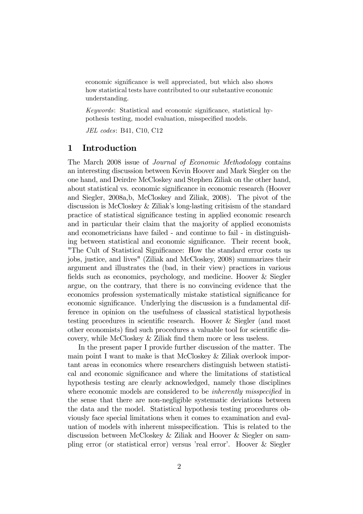economic significance is well appreciated, but which also shows how statistical tests have contributed to our substantive economic understanding.

Keywords: Statistical and economic significance, statistical hypothesis testing, model evaluation, misspecified models.

JEL codes: B41, C10, C12

### 1 Introduction

The March 2008 issue of Journal of Economic Methodology contains an interesting discussion between Kevin Hoover and Mark Siegler on the one hand, and Deirdre McCloskey and Stephen Ziliak on the other hand, about statistical vs. economic significance in economic research (Hoover and Siegler, 2008a,b, McCloskey and Ziliak, 2008). The pivot of the discussion is McCloskey & Ziliak's long-lasting critisism of the standard practice of statistical significance testing in applied economic research and in particular their claim that the majority of applied economists and econometricians have failed - and continue to fail - in distinguishing between statistical and economic significance. Their recent book, "The Cult of Statistical Significance: How the standard error costs us jobs, justice, and lives" (Ziliak and McCloskey, 2008) summarizes their argument and illustrates the (bad, in their view) practices in various fields such as economics, psychology, and medicine. Hoover & Siegler argue, on the contrary, that there is no convincing evidence that the economics profession systematically mistake statistical significance for economic significance. Underlying the discussion is a fundamental difference in opinion on the usefulness of classical statistical hypothesis testing procedures in scientific research. Hoover & Siegler (and most other economists) find such procedures a valuable tool for scientific discovery, while McCloskey & Ziliak find them more or less useless.

In the present paper I provide further discussion of the matter. The main point I want to make is that McCloskey & Ziliak overlook important areas in economics where researchers distinguish between statistical and economic significance and where the limitations of statistical hypothesis testing are clearly acknowledged, namely those disciplines where economic models are considered to be *inherently misspecified* in the sense that there are non-negligible systematic deviations between the data and the model. Statistical hypothesis testing procedures obviously face special limitations when it comes to examination and evaluation of models with inherent misspecification. This is related to the discussion between McCloskey & Ziliak and Hoover & Siegler on sampling error (or statistical error) versus 'real error'. Hoover & Siegler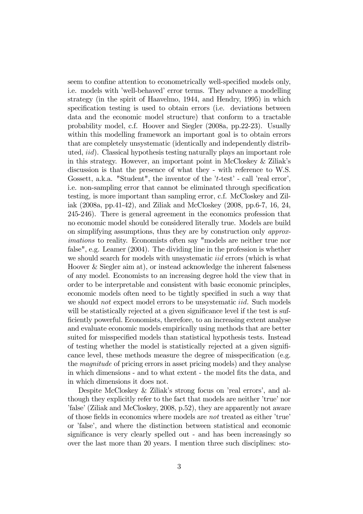seem to confine attention to econometrically well-specified models only, i.e. models with 'well-behaved' error terms. They advance a modelling strategy (in the spirit of Haavelmo, 1944, and Hendry, 1995) in which specification testing is used to obtain errors (i.e. deviations between data and the economic model structure) that conform to a tractable probability model, c.f. Hoover and Siegler (2008a, pp.22-23). Usually within this modelling framework an important goal is to obtain errors that are completely unsystematic (identically and independently distributed, iid). Classical hypothesis testing naturally plays an important role in this strategy. However, an important point in McCloskey & Ziliak's discussion is that the presence of what they - with reference to W.S. Gossett, a.k.a. "Student", the inventor of the 't-test' - call 'real error', i.e. non-sampling error that cannot be eliminated through specification testing, is more important than sampling error, c.f. McCloskey and Ziliak (2008a, pp.41-42), and Ziliak and McCloskey (2008, pp.6-7, 16, 24, 245-246). There is general agreement in the economics profession that no economic model should be considered literally true. Models are build on simplifying assumptions, thus they are by construction only approximations to reality. Economists often say "models are neither true nor false", e.g. Leamer (2004). The dividing line in the profession is whether we should search for models with unsystematic *iid* errors (which is what Hoover & Siegler aim at), or instead acknowledge the inherent falseness of any model. Economists to an increasing degree hold the view that in order to be interpretable and consistent with basic economic principles, economic models often need to be tightly specified in such a way that we should *not* expect model errors to be unsystematic *iid*. Such models will be statistically rejected at a given significance level if the test is sufficiently powerful. Economists, therefore, to an increasing extent analyse and evaluate economic models empirically using methods that are better suited for misspecified models than statistical hypothesis tests. Instead of testing whether the model is statistically rejected at a given significance level, these methods measure the degree of misspecification (e.g. the magnitude of pricing errors in asset pricing models) and they analyse in which dimensions - and to what extent - the model fits the data, and in which dimensions it does not.

Despite McCloskey & Ziliak's strong focus on 'real errors', and although they explicitly refer to the fact that models are neither 'true' nor 'false' (Ziliak and McCloskey, 2008, p.52), they are apparently not aware of those fields in economics where models are not treated as either 'true' or 'false', and where the distinction between statistical and economic significance is very clearly spelled out - and has been increasingly so over the last more than 20 years. I mention three such disciplines: sto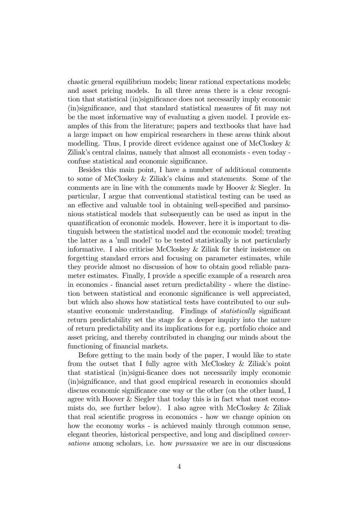chastic general equilibrium models; linear rational expectations models; and asset pricing models. In all three areas there is a clear recognition that statistical (in)significance does not necessarily imply economic (in)significance, and that standard statistical measures of fit may not be the most informative way of evaluating a given model. I provide examples of this from the literature; papers and textbooks that have had a large impact on how empirical researchers in these areas think about modelling. Thus, I provide direct evidence against one of McCloskey & Ziliak's central claims, namely that almost all economists - even today confuse statistical and economic significance.

Besides this main point, I have a number of additional comments to some of McCloskey & Ziliak's claims and statements. Some of the comments are in line with the comments made by Hoover & Siegler. In particular, I argue that conventional statistical testing can be used as an effective and valuable tool in obtaining well-specified and parsimonious statistical models that subsequently can be used as input in the quantification of economic models. However, here it is important to distinguish between the statistical model and the economic model; treating the latter as a 'null model' to be tested statistically is not particularly informative. I also criticise McCloskey & Ziliak for their insistence on forgetting standard errors and focusing on parameter estimates, while they provide almost no discussion of how to obtain good reliable parameter estimates. Finally, I provide a specific example of a research area in economics - financial asset return predictability - where the distinction between statistical and economic significance is well appreciated, but which also shows how statistical tests have contributed to our substantive economic understanding. Findings of statistically significant return predictability set the stage for a deeper inquiry into the nature of return predictability and its implications for e.g. portfolio choice and asset pricing, and thereby contributed in changing our minds about the functioning of financial markets.

Before getting to the main body of the paper, I would like to state from the outset that I fully agree with McCloskey & Ziliak's point that statistical (in)signi-ficance does not necessarily imply economic (in)significance, and that good empirical research in economics should discuss economic significance one way or the other (on the other hand, I agree with Hoover & Siegler that today this is in fact what most economists do, see further below). I also agree with McCloskey & Ziliak that real scientific progress in economics - how we change opinion on how the economy works - is achieved mainly through common sense, elegant theories, historical perspective, and long and disciplined conversations among scholars, i.e. how pursuasive we are in our discussions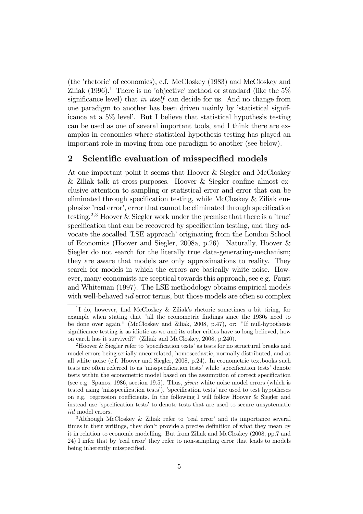(the 'rhetoric' of economics), c.f. McCloskey (1983) and McCloskey and Ziliak  $(1996)^{1}$ . There is no 'objective' method or standard (like the  $5\%$ ) significance level) that *in itself* can decide for us. And no change from one paradigm to another has been driven mainly by 'statistical significance at a 5% level'. But I believe that statistical hypothesis testing can be used as one of several important tools, and I think there are examples in economics where statistical hypothesis testing has played an important role in moving from one paradigm to another (see below).

## 2 Scientific evaluation of misspecified models

At one important point it seems that Hoover & Siegler and McCloskey & Ziliak talk at cross-purposes. Hoover & Siegler confine almost exclusive attention to sampling or statistical error and error that can be eliminated through specification testing, while McCloskey & Ziliak emphasize 'real error', error that cannot be eliminated through specification testing.<sup>2,3</sup> Hoover & Siegler work under the premise that there is a 'true' specification that can be recovered by specification testing, and they advocate the socalled 'LSE approach' originating from the London School of Economics (Hoover and Siegler, 2008a, p.26). Naturally, Hoover & Siegler do not search for the literally true data-generating-mechanism; they are aware that models are only approximations to reality. They search for models in which the errors are basically white noise. However, many economists are sceptical towards this approach, see e.g. Faust and Whiteman (1997). The LSE methodology obtains empirical models with well-behaved *iid* error terms, but those models are often so complex

<sup>&</sup>lt;sup>1</sup>I do, however, find McCloskey & Ziliak's rhetoric sometimes a bit tiring, for example when stating that "all the econometric findings since the 1930s need to be done over again." (McCloskey and Ziliak, 2008, p.47), or: "If null-hypothesis significance testing is as idiotic as we and its other critics have so long believed, how on earth has it survived?" (Ziliak and McCloskey, 2008, p.240).

<sup>2</sup>Hoover & Siegler refer to 'specification tests' as tests for no structural breaks and model errors being serially uncorrelated, homoscedastic, normally distributed, and at all white noise (c.f. Hoover and Siegler, 2008, p.24). In econometric textbooks such tests are often referred to as 'misspecification tests' while 'specification tests' denote tests within the econometric model based on the assumption of correct specification (see e.g. Spanos, 1986, section 19.5). Thus, given white noise model errors (which is tested using 'misspecification tests'), 'specification tests' are used to test hypotheses on e.g. regression coefficients. In the following I will follow Hoover  $&$  Siegler and instead use 'specification tests' to denote tests that are used to secure unsystematic iid model errors.

<sup>3</sup>Although McCloskey & Ziliak refer to 'real error' and its importance several times in their writings, they don't provide a precise definition of what they mean by it in relation to economic modelling. But from Ziliak and McCloskey (2008, pp.7 and 24) I infer that by 'real error' they refer to non-sampling error that leads to models being inherently misspecified.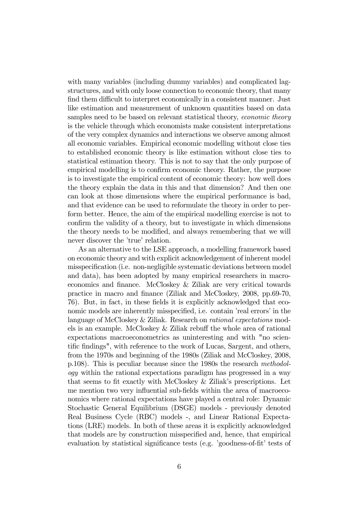with many variables (including dummy variables) and complicated lagstructures, and with only loose connection to economic theory, that many find them difficult to interpret economically in a consistent manner. Just like estimation and measurement of unknown quantities based on data samples need to be based on relevant statistical theory, *economic theory* is the vehicle through which economists make consistent interpretations of the very complex dynamics and interactions we observe among almost all economic variables. Empirical economic modelling without close ties to established economic theory is like estimation without close ties to statistical estimation theory. This is not to say that the only purpose of empirical modelling is to confirm economic theory. Rather, the purpose is to investigate the empirical content of economic theory: how well does the theory explain the data in this and that dimension? And then one can look at those dimensions where the empirical performance is bad, and that evidence can be used to reformulate the theory in order to perform better. Hence, the aim of the empirical modelling exercise is not to confirm the validity of a theory, but to investigate in which dimensions the theory needs to be modified, and always remembering that we will never discover the 'true' relation.

As an alternative to the LSE approach, a modelling framework based on economic theory and with explicit acknowledgement of inherent model misspecification (i.e. non-negligible systematic deviations between model and data), has been adopted by many empirical researchers in macroeconomics and finance. McCloskey & Ziliak are very critical towards practice in macro and finance (Ziliak and McCloskey, 2008, pp.69-70, 76). But, in fact, in these fields it is explicitly acknowledged that economic models are inherently misspecified, i.e. contain 'real errors' in the language of McCloskey & Ziliak. Research on rational expectations models is an example. McCloskey & Ziliak rebuff the whole area of rational expectations macroeconometrics as uninteresting and with "no scientific findings", with reference to the work of Lucas, Sargent, and others, from the 1970s and beginning of the 1980s (Ziliak and McCloskey, 2008, p.108). This is peculiar because since the 1980s the research methodology within the rational expectations paradigm has progressed in a way that seems to fit exactly with McCloskey & Ziliak's prescriptions. Let me mention two very influential sub-fields within the area of macroeconomics where rational expectations have played a central role: Dynamic Stochastic General Equilibrium (DSGE) models - previously denoted Real Business Cycle (RBC) models -, and Linear Rational Expectations (LRE) models. In both of these areas it is explicitly acknowledged that models are by construction misspecified and, hence, that empirical evaluation by statistical significance tests (e.g. 'goodness-of-fit' tests of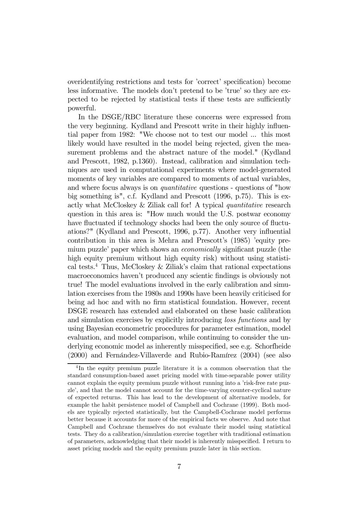overidentifying restrictions and tests for 'correct' specification) become less informative. The models don't pretend to be 'true' so they are expected to be rejected by statistical tests if these tests are sufficiently powerful.

In the DSGE/RBC literature these concerns were expressed from the very beginning. Kydland and Prescott write in their highly influential paper from 1982: "We choose not to test our model ... this most likely would have resulted in the model being rejected, given the measurement problems and the abstract nature of the model." (Kydland and Prescott, 1982, p.1360). Instead, calibration and simulation techniques are used in computational experiments where model-generated moments of key variables are compared to moments of actual variables, and where focus always is on quantitative questions - questions of "how big something is", c.f. Kydland and Prescott (1996, p.75). This is exactly what McCloskey & Ziliak call for! A typical quantitative research question in this area is: "How much would the U.S. postwar economy have fluctuated if technology shocks had been the only source of fluctuations?" (Kydland and Prescott, 1996, p.77). Another very influential contribution in this area is Mehra and Prescott's (1985) 'equity premium puzzle' paper which shows an economically significant puzzle (the high equity premium without high equity risk) without using statistical tests.<sup>4</sup> Thus, McCloskey & Ziliak's claim that rational expectations macroeconomics haven't produced any scientic findings is obviously not true! The model evaluations involved in the early calibration and simulation exercises from the 1980s and 1990s have been heavily criticised for being ad hoc and with no firm statistical foundation. However, recent DSGE research has extended and elaborated on these basic calibration and simulation exercises by explicitly introducing loss functions and by using Bayesian econometric procedures for parameter estimation, model evaluation, and model comparison, while continuing to consider the underlying economic model as inherently misspecified, see e.g. Schorfheide (2000) and Fernández-Villaverde and Rubio-Ramírez (2004) (see also

<sup>&</sup>lt;sup>4</sup>In the equity premium puzzle literature it is a common observation that the standard consumption-based asset pricing model with time-separable power utility cannot explain the equity premium puzzle without running into a 'risk-free rate puzzle', and that the model cannot account for the time-varying counter-cyclical nature of expected returns. This has lead to the development of alternative models, for example the habit persistence model of Campbell and Cochrane (1999). Both models are typically rejected statistically, but the Campbell-Cochrane model performs better because it accounts for more of the empirical facts we observe. And note that Campbell and Cochrane themselves do not evaluate their model using statistical tests. They do a calibration/simulation exercise together with traditional estimation of parameters, acknowledging that their model is inherently misspecified. I return to asset pricing models and the equity premium puzzle later in this section.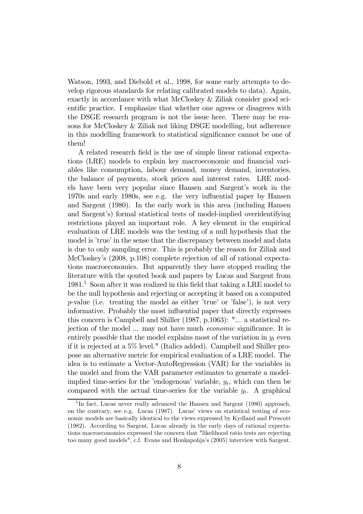Watson, 1993, and Diebold et al., 1998, for some early attempts to develop rigorous standards for relating calibrated models to data). Again, exactly in accordance with what McCloskey & Ziliak consider good scientific practice. I emphasize that whether one agrees or disagrees with the DSGE research program is not the issue here. There may be reasons for McCloskey & Ziliak not liking DSGE modelling, but adherence in this modelling framework to statistical significance cannot be one of them!

A related research field is the use of simple linear rational expectations (LRE) models to explain key macroeconomic and financial variables like consumption, labour demand, money demand, inventories, the balance of payments, stock prices and interest rates. LRE models have been very popular since Hansen and Sargent's work in the 1970s and early 1980s, see e.g. the very influential paper by Hansen and Sargent (1980). In the early work in this area (including Hansen and Sargent's) formal statistical tests of model-implied overidentifying restrictions played an important role. A key element in the empirical evaluation of LRE models was the testing of a null hypothesis that the model is 'true' in the sense that the discrepancy between model and data is due to only sampling error. This is probably the reason for Ziliak and McCloskey's (2008, p.108) complete rejection of all of rational expectations macroeconomics. But apparently they have stopped reading the literature with the qouted book and papers by Lucas and Sargent from 1981.5 Soon after it was realized in this field that taking a LRE model to be the null hypothesis and rejecting or accepting it based on a computed p-value (i.e. treating the model as either 'true' or 'false'), is not very informative. Probably the most influential paper that directly expresses this concern is Campbell and Shiller (1987, p.1063): "... a statistical rejection of the model ... may not have much economic significance. It is entirely possible that the model explains most of the variation in  $y_t$  even if it is rejected at a 5% level." (Italics added). Campbell and Shiller propose an alternative metric for empirical evaluation of a LRE model. The idea is to estimate a Vector-AutoRegression (VAR) for the variables in the model and from the VAR parameter estimates to generate a modelimplied time-series for the 'endogenous' variable,  $y_t$ , which can then be compared with the actual time-series for the variable  $y_t$ . A graphical

<sup>&</sup>lt;sup>5</sup>In fact, Lucas never really advanced the Hansen and Sargent (1980) approach, on the contrary, see e.g. Lucas (1987). Lucas' views on statistical testing of economic models are basically identical to the views expressed by Kydland and Prescott (1982). According to Sargent, Lucas already in the early days of rational expectations macroeconomics expressed the concern that "likelihood ratio tests are rejecting too many good models", c.f. Evans and Honkapohja's (2005) interview with Sargent.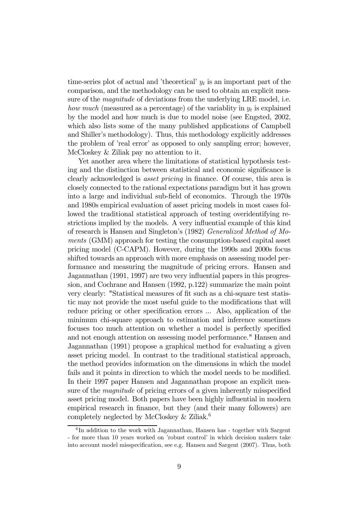time-series plot of actual and 'theoretical'  $y_t$  is an important part of the comparison, and the methodology can be used to obtain an explicit measure of the *magnitude* of deviations from the underlying LRE model, i.e. how much (measured as a percentage) of the variablity in  $y_t$  is explained by the model and how much is due to model noise (see Engsted, 2002, which also lists some of the many published applications of Campbell and Shiller's methodology). Thus, this methodology explicitly addresses the problem of 'real error' as opposed to only sampling error; however, McCloskey & Ziliak pay no attention to it.

Yet another area where the limitations of statistical hypothesis testing and the distinction between statistical and economic significance is clearly acknowledged is asset pricing in finance. Of course, this area is closely connected to the rational expectations paradigm but it has grown into a large and individual sub-field of economics. Through the 1970s and 1980s empirical evaluation of asset pricing models in most cases followed the traditional statistical approach of testing overidentifying restrictions implied by the models. A very influential example of this kind of research is Hansen and Singleton's (1982) Generalized Method of Moments (GMM) approach for testing the consumption-based capital asset pricing model (C-CAPM). However, during the 1990s and 2000s focus shifted towards an approach with more emphasis on assessing model performance and measuring the magnitude of pricing errors. Hansen and Jagannathan (1991, 1997) are two very influential papers in this progression, and Cochrane and Hansen (1992, p.122) summarize the main point very clearly: "Statistical measures of fit such as a chi-square test statistic may not provide the most useful guide to the modifications that will reduce pricing or other specification errors ... Also, application of the minimum chi-square approach to estimation and inference sometimes focuses too much attention on whether a model is perfectly specified and not enough attention on assessing model performance." Hansen and Jagannathan (1991) propose a graphical method for evaluating a given asset pricing model. In contrast to the traditional statistical approach, the method provides information on the dimensions in which the model fails and it points in direction to which the model needs to be modified. In their 1997 paper Hansen and Jagannathan propose an explicit measure of the *magnitude* of pricing errors of a given inherently misspecified asset pricing model. Both papers have been highly influential in modern empirical research in finance, but they (and their many followers) are completely neglected by McCloskey & Ziliak.<sup>6</sup>

 $6$ In addition to the work with Jagannathan, Hansen has - together with Sargent - for more than 10 years worked on 'robust control' in which decision makers take into account model misspecification, see e.g. Hansen and Sargent (2007). Thus, both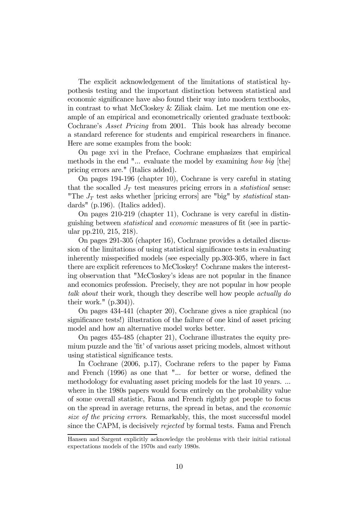The explicit acknowledgement of the limitations of statistical hypothesis testing and the important distinction between statistical and economic significance have also found their way into modern textbooks, in contrast to what McCloskey & Ziliak claim. Let me mention one example of an empirical and econometrically oriented graduate textbook: Cochrane's Asset Pricing from 2001. This book has already become a standard reference for students and empirical researchers in finance. Here are some examples from the book:

On page xvi in the Preface, Cochrane emphasizes that empirical methods in the end "... evaluate the model by examining how big [the] pricing errors are." (Italics added).

On pages 194-196 (chapter 10), Cochrane is very careful in stating that the socalled  $J_T$  test measures pricing errors in a *statistical* sense: "The  $J_T$  test asks whether [pricing errors] are "big" by statistical standards" (p.196). (Italics added).

On pages 210-219 (chapter 11), Cochrane is very careful in distinguishing between statistical and economic measures of fit (see in particular pp.210, 215, 218).

On pages 291-305 (chapter 16), Cochrane provides a detailed discussion of the limitations of using statistical significance tests in evaluating inherently misspecified models (see especially pp.303-305, where in fact there are explicit references to McCloskey! Cochrane makes the interesting observation that "McCloskey's ideas are not popular in the finance and economics profession. Precisely, they are not popular in how people talk about their work, though they describe well how people actually do their work."  $(p.304)$ .

On pages 434-441 (chapter 20), Cochrane gives a nice graphical (no significance tests!) illustration of the failure of one kind of asset pricing model and how an alternative model works better.

On pages 455-485 (chapter 21), Cochrane illustrates the equity premium puzzle and the 'fit' of various asset pricing models, almost without using statistical significance tests.

In Cochrane (2006, p.17), Cochrane refers to the paper by Fama and French (1996) as one that "... for better or worse, defined the methodology for evaluating asset pricing models for the last 10 years. ... where in the 1980s papers would focus entirely on the probability value of some overall statistic, Fama and French rightly got people to focus on the spread in average returns, the spread in betas, and the economic size of the pricing errors. Remarkably, this, the most successful model since the CAPM, is decisively rejected by formal tests. Fama and French

Hansen and Sargent explicitly acknowledge the problems with their initial rational expectations models of the 1970s and early 1980s.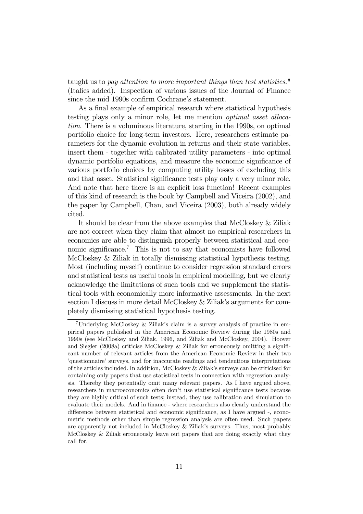taught us to pay attention to more important things than test statistics." (Italics added). Inspection of various issues of the Journal of Finance since the mid 1990s confirm Cochrane's statement.

As a final example of empirical research where statistical hypothesis testing plays only a minor role, let me mention optimal asset allocation. There is a voluminous literature, starting in the 1990s, on optimal portfolio choice for long-term investors. Here, researchers estimate parameters for the dynamic evolution in returns and their state variables, insert them - together with calibrated utility parameters - into optimal dynamic portfolio equations, and measure the economic significance of various portfolio choices by computing utility losses of excluding this and that asset. Statistical significance tests play only a very minor role. And note that here there is an explicit loss function! Recent examples of this kind of research is the book by Campbell and Viceira (2002), and the paper by Campbell, Chan, and Viceira (2003), both already widely cited.

It should be clear from the above examples that McCloskey & Ziliak are not correct when they claim that almost no empirical researchers in economics are able to distinguish properly between statistical and economic significance.7 This is not to say that economists have followed McCloskey & Ziliak in totally dismissing statistical hypothesis testing. Most (including myself) continue to consider regression standard errors and statistical tests as useful tools in empirical modelling, but we clearly acknowledge the limitations of such tools and we supplement the statistical tools with economically more informative assessments. In the next section I discuss in more detail McCloskey & Ziliak's arguments for completely dismissing statistical hypothesis testing.

<sup>7</sup>Underlying McCloskey & Ziliak's claim is a survey analysis of practice in empirical papers published in the American Economic Review during the 1980s and 1990s (see McCloskey and Ziliak, 1996, and Ziliak and McCloskey, 2004). Hoover and Siegler (2008a) criticise McCloskey & Ziliak for erroneously omitting a significant number of relevant articles from the American Economic Review in their two 'questionnaire' surveys, and for inaccurate readings and tendentious interpretations of the articles included. In addition, McCloskey & Ziliak's surveys can be criticised for containing only papers that use statistical tests in connection with regression analysis. Thereby they potentially omit many relevant papers. As I have argued above, researchers in macroeconomics often don't use statistical significance tests because they are highly critical of such tests; instead, they use calibration and simulation to evaluate their models. And in finance - where researchers also clearly understand the difference between statistical and economic significance, as I have argued -, econometric methods other than simple regression analysis are often used. Such papers are apparently not included in McCloskey & Ziliak's surveys. Thus, most probably McCloskey & Ziliak erroneously leave out papers that are doing exactly what they call for.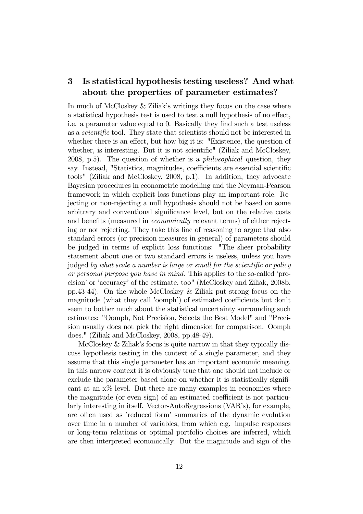## 3 Is statistical hypothesis testing useless? And what about the properties of parameter estimates?

In much of McCloskey & Ziliak's writings they focus on the case where a statistical hypothesis test is used to test a null hypothesis of no effect, i.e. a parameter value equal to 0. Basically they find such a test useless as a scientific tool. They state that scientists should not be interested in whether there is an effect, but how big it is: "Existence, the question of whether, is interesting. But it is not scientific" (Ziliak and McCloskey, 2008, p.5). The question of whether is a philosophical question, they say. Instead, "Statistics, magnitudes, coefficients are essential scientific tools" (Ziliak and McCloskey, 2008, p.1). In addition, they advocate Bayesian procedures in econometric modelling and the Neyman-Pearson framework in which explicit loss functions play an important role. Rejecting or non-rejecting a null hypothesis should not be based on some arbitrary and conventional significance level, but on the relative costs and benefits (measured in economically relevant terms) of either rejecting or not rejecting. They take this line of reasoning to argue that also standard errors (or precision measures in general) of parameters should be judged in terms of explicit loss functions: "The sheer probability statement about one or two standard errors is useless, unless you have judged by what scale a number is large or small for the scientific or policy or personal purpose you have in mind. This applies to the so-called 'precision' or 'accuracy' of the estimate, too" (McCloskey and Ziliak, 2008b, pp.43-44). On the whole McCloskey & Ziliak put strong focus on the magnitude (what they call 'oomph') of estimated coefficients but don't seem to bother much about the statistical uncertainty surrounding such estimates: "Oomph, Not Precision, Selects the Best Model" and "Precision usually does not pick the right dimension for comparison. Oomph does." (Ziliak and McCloskey, 2008, pp.48-49).

McCloskey & Ziliak's focus is quite narrow in that they typically discuss hypothesis testing in the context of a single parameter, and they assume that this single parameter has an important economic meaning. In this narrow context it is obviously true that one should not include or exclude the parameter based alone on whether it is statistically significant at an  $x\%$  level. But there are many examples in economics where the magnitude (or even sign) of an estimated coefficient is not particularly interesting in itself. Vector-AutoRegressions (VAR's), for example, are often used as 'reduced form' summaries of the dynamic evolution over time in a number of variables, from which e.g. impulse responses or long-term relations or optimal portfolio choices are inferred, which are then interpreted economically. But the magnitude and sign of the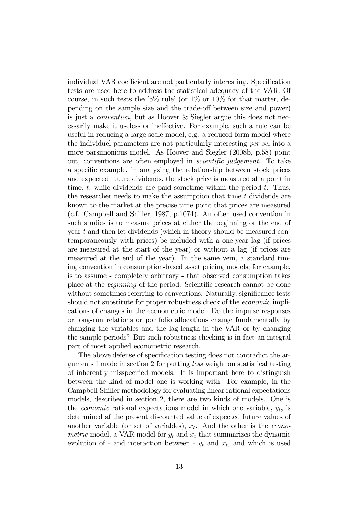individual VAR coefficient are not particularly interesting. Specification tests are used here to address the statistical adequacy of the VAR. Of course, in such tests the '5% rule' (or  $1\%$  or  $10\%$  for that matter, depending on the sample size and the trade-off between size and power) is just a convention, but as Hoover & Siegler argue this does not necessarily make it useless or ineffective. For example, such a rule can be useful in reducing a large-scale model, e.g. a reduced-form model where the individuel parameters are not particularly interesting per se, into a more parsimonious model. As Hoover and Siegler (2008b, p.58) point out, conventions are often employed in scientific judgement. To take a specific example, in analyzing the relationship between stock prices and expected future dividends, the stock price is measured at a point in time,  $t$ , while dividends are paid sometime within the period  $t$ . Thus, the researcher needs to make the assumption that time  $t$  dividends are known to the market at the precise time point that prices are measured (c.f. Campbell and Shiller, 1987, p.1074). An often used convention in such studies is to measure prices at either the beginning or the end of year t and then let dividends (which in theory should be measured contemporaneously with prices) be included with a one-year lag (if prices are measured at the start of the year) or without a lag (if prices are measured at the end of the year). In the same vein, a standard timing convention in consumption-based asset pricing models, for example, is to assume - completely arbitrary - that observed consumption takes place at the beginning of the period. Scientific research cannot be done without sometimes referring to conventions. Naturally, significance tests should not substitute for proper robustness check of the economic implications of changes in the econometric model. Do the impulse responses or long-run relations or portfolio allocations change fundamentally by changing the variables and the lag-length in the VAR or by changing the sample periods? But such robustness checking is in fact an integral part of most applied econometric research.

The above defense of specification testing does not contradict the arguments I made in section 2 for putting less weight on statistical testing of inherently misspecified models. It is important here to distinguish between the kind of model one is working with. For example, in the Campbell-Shiller methodology for evaluating linear rational expectations models, described in section 2, there are two kinds of models. One is the *economic* rational expectations model in which one variable,  $y_t$ , is determined af the present discounted value of expected future values of another variable (or set of variables),  $x_t$ . And the other is the *econo*metric model, a VAR model for  $y_t$  and  $x_t$  that summarizes the dynamic evolution of - and interaction between -  $y_t$  and  $x_t$ , and which is used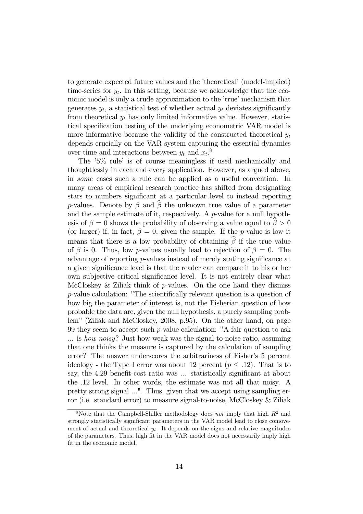to generate expected future values and the 'theoretical' (model-implied) time-series for  $y_t$ . In this setting, because we acknowledge that the economic model is only a crude approximation to the 'true' mechanism that generates  $y_t$ , a statistical test of whether actual  $y_t$  deviates significantly from theoretical  $y_t$  has only limited informative value. However, statistical specification testing of the underlying econometric VAR model is more informative because the validity of the constructed theoretical  $y_t$ depends crucially on the VAR system capturing the essential dynamics over time and interactions between  $y_t$  and  $x_t$ .<sup>8</sup>

The '5% rule' is of course meaningless if used mechanically and thoughtlessly in each and every application. However, as argued above, in some cases such a rule can be applied as a useful convention. In many areas of empirical research practice has shifted from designating stars to numbers significant at a particular level to instead reporting p-values. Denote by  $\beta$  and  $\beta$  the unknown true value of a parameter and the sample estimate of it, respectively. A  $p$ -value for a null hypothesis of  $\beta = 0$  shows the probability of observing a value equal to  $\beta > 0$ (or larger) if, in fact,  $\beta = 0$ , given the sample. If the *p*-value is low it means that there is a low probability of obtaining  $\beta$  if the true value of  $\beta$  is 0. Thus, low p-values usually lead to rejection of  $\beta = 0$ . The advantage of reporting p-values instead of merely stating significance at a given significance level is that the reader can compare it to his or her own subjective critical significance level. It is not entirely clear what McCloskey & Ziliak think of  $p$ -values. On the one hand they dismiss p-value calculation: "The scientifically relevant question is a question of how big the parameter of interest is, not the Fisherian question of how probable the data are, given the null hypothesis, a purely sampling problem" (Ziliak and McCloskey, 2008, p.95). On the other hand, on page 99 they seem to accept such  $p$ -value calculation: "A fair question to ask ... is how noisy? Just how weak was the signal-to-noise ratio, assuming that one thinks the measure is captured by the calculation of sampling error? The answer underscores the arbitrariness of Fisher's 5 percent ideology - the Type I error was about 12 percent  $(p \le 12)$ . That is to say, the 4.29 benefit-cost ratio was ... statistically significant at about the .12 level. In other words, the estimate was not all that noisy. A pretty strong signal ...". Thus, given that we accept using sampling error (i.e. standard error) to measure signal-to-noise, McCloskey & Ziliak

<sup>&</sup>lt;sup>8</sup>Note that the Campbell-Shiller methodology does *not* imply that high  $R^2$  and strongly statistically significant parameters in the VAR model lead to close comovement of actual and theoretical  $y_t$ . It depends on the signs and relative magnitudes of the parameters. Thus, high fit in the VAR model does not necessarily imply high fit in the economic model.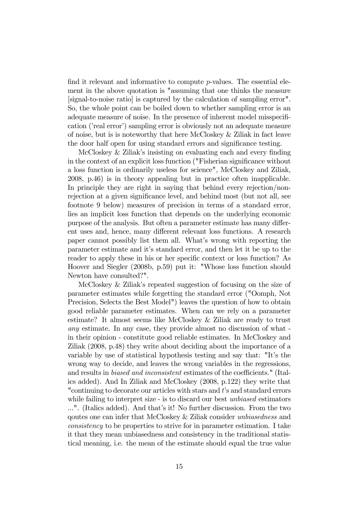find it relevant and informative to compute p-values. The essential element in the above quotation is "assuming that one thinks the measure [signal-to-noise ratio] is captured by the calculation of sampling error". So, the whole point can be boiled down to whether sampling error is an adequate measure of noise. In the presence of inherent model misspecification ('real error') sampling error is obviously not an adequate measure of noise, but is is noteworthy that here McCloskey & Ziliak in fact leave the door half open for using standard errors and significance testing.

McCloskey & Ziliak's insisting on evaluating each and every finding in the context of an explicit loss function ("Fisherian significance without a loss function is ordinarily useless for science", McCloskey and Ziliak, 2008, p.46) is in theory appealing but in practice often inapplicable. In principle they are right in saying that behind every rejection/nonrejection at a given significance level, and behind most (but not all, see footnote 9 below) measures of precision in terms of a standard error, lies an implicit loss function that depends on the underlying economic purpose of the analysis. But often a parameter estimate has many different uses and, hence, many different relevant loss functions. A research paper cannot possibly list them all. What's wrong with reporting the parameter estimate and it's standard error, and then let it be up to the reader to apply these in his or her specific context or loss function? As Hoover and Siegler (2008b, p.59) put it: "Whose loss function should Newton have consulted?".

McCloskey & Ziliak's repeated suggestion of focusing on the size of parameter estimates while forgetting the standard error ("Oomph, Not Precision, Selects the Best Model") leaves the question of how to obtain good reliable parameter estimates. When can we rely on a parameter estimate? It almost seems like McCloskey & Ziliak are ready to trust any estimate. In any case, they provide almost no discussion of what in their opinion - constitute good reliable estimates. In McCloskey and Ziliak (2008, p.48) they write about deciding about the importance of a variable by use of statistical hypothesis testing and say that: "It's the wrong way to decide, and leaves the wrong variables in the regressions, and results in biased and inconsistent estimates of the coefficients." (Italics added). And In Ziliak and McCloskey (2008, p.122) they write that "continuing to decorate our articles with stars and t's and standard errors" while failing to interpret size - is to discard our best *unbiased* estimators ...". (Italics added). And that's it! No further discussion. From the two qoutes one can infer that McCloskey & Ziliak consider unbiasedness and consistency to be properties to strive for in parameter estimation. I take it that they mean unbiasedness and consistency in the traditional statistical meaning, i.e. the mean of the estimate should equal the true value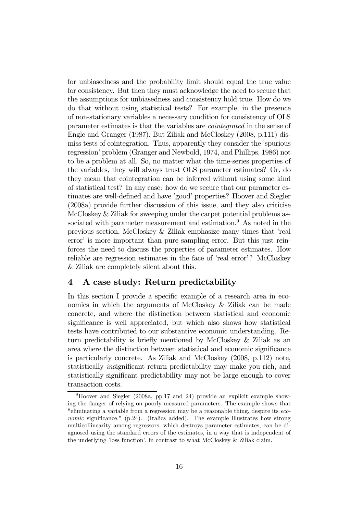for unbiasedness and the probability limit should equal the true value for consistency. But then they must acknowledge the need to secure that the assumptions for unbiasedness and consistency hold true. How do we do that without using statistical tests? For example, in the presence of non-stationary variables a necessary condition for consistency of OLS parameter estimates is that the variables are cointegrated in the sense of Engle and Granger (1987). But Ziliak and McCloskey (2008, p.111) dismiss tests of cointegration. Thus, apparently they consider the 'spurious regression' problem (Granger and Newbold, 1974, and Phillips, 1986) not to be a problem at all. So, no matter what the time-series properties of the variables, they will always trust OLS parameter estimates? Or, do they mean that cointegration can be inferred without using some kind of statistical test? In any case: how do we secure that our parameter estimates are well-defined and have 'good' properties? Hoover and Siegler (2008a) provide further discussion of this issue, and they also criticise McCloskey & Ziliak for sweeping under the carpet potential problems associated with parameter measurement and estimation.<sup>9</sup> As noted in the previous section, McCloskey & Ziliak emphasize many times that 'real error' is more important than pure sampling error. But this just reinforces the need to discuss the properties of parameter estimates. How reliable are regression estimates in the face of 'real error'? McCloskey & Ziliak are completely silent about this.

## 4 A case study: Return predictability

In this section I provide a specific example of a research area in economics in which the arguments of McCloskey & Ziliak can be made concrete, and where the distinction between statistical and economic significance is well appreciated, but which also shows how statistical tests have contributed to our substantive economic understanding. Return predictability is briefly mentioned by McCloskey & Ziliak as an area where the distinction between statistical and economic significance is particularly concrete. As Ziliak and McCloskey (2008, p.112) note, statistically insignificant return predictability may make you rich, and statistically significant predictability may not be large enough to cover transaction costs.

 $9$ Hoover and Siegler (2008a, pp.17 and 24) provide an explicit example showing the danger of relying on poorly measured parameters. The example shows that "eliminating a variable from a regression may be a reasonable thing, despite its economic significance." (p.24). (Italics added). The example illustrates how strong multicollinearity among regressors, which destroys parameter estimates, can be diagnosed using the standard errors of the estimates, in a way that is independent of the underlying 'loss function', in contrast to what McCloskey & Ziliak claim.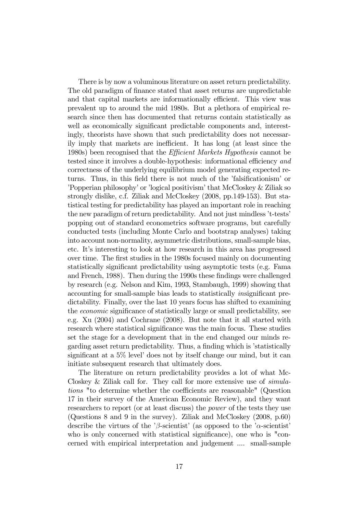There is by now a voluminous literature on asset return predictability. The old paradigm of finance stated that asset returns are unpredictable and that capital markets are informationally efficient. This view was prevalent up to around the mid 1980s. But a plethora of empirical research since then has documented that returns contain statistically as well as economically significant predictable components and, interestingly, theorists have shown that such predictability does not necessarily imply that markets are inefficient. It has long (at least since the 1980s) been recognised that the Efficient Markets Hypothesis cannot be tested since it involves a double-hypothesis: informational efficiency and correctness of the underlying equilibrium model generating expected returns. Thus, in this field there is not much of the 'falsificationism' or 'Popperian philosophy' or 'logical positivism' that McCloskey & Ziliak so strongly dislike, c.f. Ziliak and McCloskey (2008, pp.149-153). But statistical testing for predictability has played an important role in reaching the new paradigm of return predictability. And not just mindless 't-tests' popping out of standard econometrics software programs, but carefully conducted tests (including Monte Carlo and bootstrap analyses) taking into account non-normality, asymmetric distributions, small-sample bias, etc. It's interesting to look at how research in this area has progressed over time. The first studies in the 1980s focused mainly on documenting statistically significant predictability using asymptotic tests (e.g. Fama and French, 1988). Then during the 1990s these findings were challenged by research (e.g. Nelson and Kim, 1993, Stambaugh, 1999) showing that accounting for small-sample bias leads to statistically insignificant predictability. Finally, over the last 10 years focus has shifted to examining the economic significance of statistically large or small predictability, see e.g. Xu (2004) and Cochrane (2008). But note that it all started with research where statistical significance was the main focus. These studies set the stage for a development that in the end changed our minds regarding asset return predictability. Thus, a finding which is 'statistically significant at a 5% level' does not by itself change our mind, but it can initiate subsequent research that ultimately does.

The literature on return predictability provides a lot of what Mc-Closkey & Ziliak call for. They call for more extensive use of simulations "to determine whether the coefficients are reasonable" (Question 17 in their survey of the American Economic Review), and they want researchers to report (or at least discuss) the *power* of the tests they use (Questions 8 and 9 in the survey). Ziliak and McCloskey (2008, p.60) describe the virtues of the 'β-scientist' (as opposed to the ' $\alpha$ -scientist' who is only concerned with statistical significance), one who is "concerned with empirical interpretation and judgement .... small-sample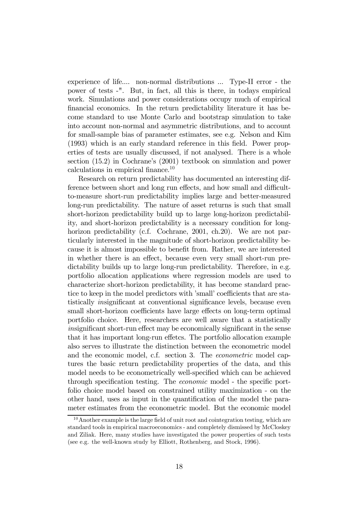experience of life.... non-normal distributions ... Type-II error - the power of tests -". But, in fact, all this is there, in todays empirical work. Simulations and power considerations occupy much of empirical financial economics. In the return predictability literature it has become standard to use Monte Carlo and bootstrap simulation to take into account non-normal and asymmetric distributions, and to account for small-sample bias of parameter estimates, see e.g. Nelson and Kim (1993) which is an early standard reference in this field. Power properties of tests are usually discussed, if not analysed. There is a whole section (15.2) in Cochrane's (2001) textbook on simulation and power calculations in empirical finance.10

Research on return predictability has documented an interesting difference between short and long run effects, and how small and difficultto-measure short-run predictability implies large and better-measured long-run predictability. The nature of asset returns is such that small short-horizon predictability build up to large long-horizon predictability, and short-horizon predictability is a necessary condition for longhorizon predictability (c.f. Cochrane, 2001, ch. 20). We are not particularly interested in the magnitude of short-horizon predictability because it is almost impossible to benefit from. Rather, we are interested in whether there is an effect, because even very small short-run predictability builds up to large long-run predictability. Therefore, in e.g. portfolio allocation applications where regression models are used to characterize short-horizon predictability, it has become standard practice to keep in the model predictors with 'small' coefficients that are statistically insignificant at conventional significance levels, because even small short-horizon coefficients have large effects on long-term optimal portfolio choice. Here, researchers are well aware that a statistically insignificant short-run effect may be economically significant in the sense that it has important long-run effetcs. The portfolio allocation example also serves to illustrate the distinction between the econometric model and the economic model, c.f. section 3. The econometric model captures the basic return predictability properties of the data, and this model needs to be econometrically well-specified which can be achieved through specification testing. The economic model - the specific portfolio choice model based on constrained utility maximization - on the other hand, uses as input in the quantification of the model the parameter estimates from the econometric model. But the economic model

 $10$ Another example is the large field of unit root and cointegration testing, which are standard tools in empirical macroeconomics - and completely dismissed by McCloskey and Ziliak. Here, many studies have investigated the power properties of such tests (see e.g. the well-known study by Elliott, Rothenberg, and Stock, 1996).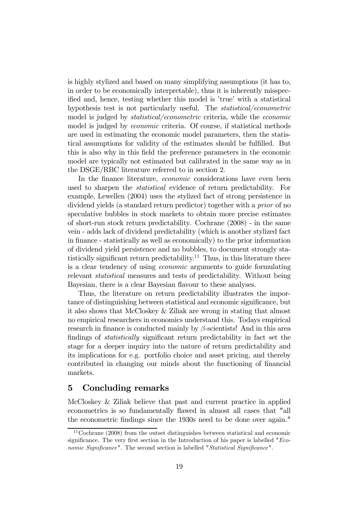is highly stylized and based on many simplifying assumptions (it has to, in order to be economically interpretable), thus it is inherently misspecified and, hence, testing whether this model is 'true' with a statistical hypothesis test is not particularly useful. The *statistical/econometric* model is judged by statistical/econometric criteria, while the economic model is judged by economic criteria. Of course, if statistical methods are used in estimating the economic model parameters, then the statistical assumptions for validity of the estimates should be fulfilled. But this is also why in this field the preference parameters in the economic model are typically not estimated but calibrated in the same way as in the DSGE/RBC literature referred to in section 2.

In the finance literature, economic considerations have even been used to sharpen the statistical evidence of return predictability. For example, Lewellen (2004) uses the stylized fact of strong persistence in dividend yields (a standard return predictor) together with a prior of no speculative bubbles in stock markets to obtain more precise estimates of short-run stock return predictability. Cochrane (2008) - in the same vein - adds lack of dividend predictability (which is another stylized fact in finance - statistically as well as economically) to the prior information of dividend yield persistence and no bubbles, to document strongly statistically significant return predictability.<sup>11</sup> Thus, in this literature there is a clear tendency of using economic arguments to guide formulating relevant statistical measures and tests of predictability. Without being Bayesian, there is a clear Bayesian flavour to these analyses.

Thus, the literature on return predictability illustrates the importance of distinguishing between statistical and economic significance, but it also shows that McCloskey & Ziliak are wrong in stating that almost no empirical researchers in economics understand this. Todays empirical research in finance is conducted mainly by  $\beta$ -scientists! And in this area findings of statistically significant return predictability in fact set the stage for a deeper inquiry into the nature of return predictability and its implications for e.g. portfolio choice and asset pricing, and thereby contributed in changing our minds about the functioning of financial markets.

### 5 Concluding remarks

McCloskey & Ziliak believe that past and current practice in applied econometrics is so fundamentally flawed in almost all cases that "all the econometric findings since the 1930s need to be done over again."

 $11$ Cochrane (2008) from the outset distinguishes between statistical and economic significance. The very first section in the Introduction of his paper is labelled  $"Eco$ nomic Significance". The second section is labelled "Statistical Significance".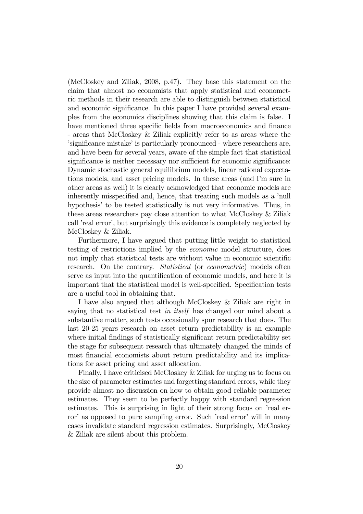(McCloskey and Ziliak, 2008, p.47). They base this statement on the claim that almost no economists that apply statistical and econometric methods in their research are able to distinguish between statistical and economic significance. In this paper I have provided several examples from the economics disciplines showing that this claim is false. I have mentioned three specific fields from macroeconomics and finance - areas that McCloskey & Ziliak explicitly refer to as areas where the 'significance mistake' is particularly pronounced - where researchers are, and have been for several years, aware of the simple fact that statistical significance is neither necessary nor sufficient for economic significance: Dynamic stochastic general equilibrium models, linear rational expectations models, and asset pricing models. In these areas (and I'm sure in other areas as well) it is clearly acknowledged that economic models are inherently misspecified and, hence, that treating such models as a 'null hypothesis' to be tested statistically is not very informative. Thus, in these areas researchers pay close attention to what McCloskey & Ziliak call 'real error', but surprisingly this evidence is completely neglected by McCloskey & Ziliak.

Furthermore, I have argued that putting little weight to statistical testing of restrictions implied by the economic model structure, does not imply that statistical tests are without value in economic scientific research. On the contrary. Statistical (or econometric) models often serve as input into the quantification of economic models, and here it is important that the statistical model is well-specified. Specification tests are a useful tool in obtaining that.

I have also argued that although McCloskey & Ziliak are right in saying that no statistical test in itself has changed our mind about a substantive matter, such tests occasionally spur research that does. The last 20-25 years research on asset return predictability is an example where initial findings of statistically significant return predictability set the stage for subsequent research that ultimately changed the minds of most financial economists about return predictability and its implications for asset pricing and asset allocation.

Finally, I have criticised McCloskey & Ziliak for urging us to focus on the size of parameter estimates and forgetting standard errors, while they provide almost no discussion on how to obtain good reliable parameter estimates. They seem to be perfectly happy with standard regression estimates. This is surprising in light of their strong focus on 'real error' as opposed to pure sampling error. Such 'real error' will in many cases invalidate standard regression estimates. Surprisingly, McCloskey & Ziliak are silent about this problem.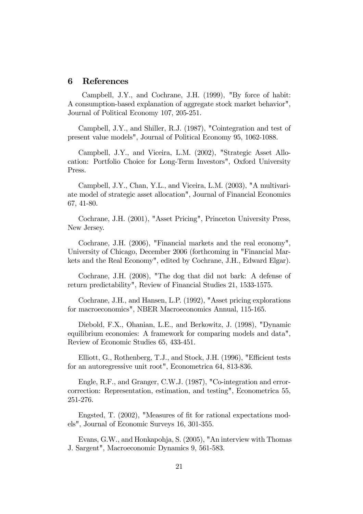### 6 References

Campbell, J.Y., and Cochrane, J.H. (1999), "By force of habit: A consumption-based explanation of aggregate stock market behavior", Journal of Political Economy 107, 205-251.

Campbell, J.Y., and Shiller, R.J. (1987), "Cointegration and test of present value models", Journal of Political Economy 95, 1062-1088.

Campbell, J.Y., and Viceira, L.M. (2002), "Strategic Asset Allocation: Portfolio Choice for Long-Term Investors", Oxford University Press.

Campbell, J.Y., Chan, Y.L., and Viceira, L.M. (2003), "A multivariate model of strategic asset allocation", Journal of Financial Economics 67, 41-80.

Cochrane, J.H. (2001), "Asset Pricing", Princeton University Press, New Jersey.

Cochrane, J.H. (2006), "Financial markets and the real economy", University of Chicago, December 2006 (forthcoming in "Financial Markets and the Real Economy", edited by Cochrane, J.H., Edward Elgar).

Cochrane, J.H. (2008), "The dog that did not bark: A defense of return predictability", Review of Financial Studies 21, 1533-1575.

Cochrane, J.H., and Hansen, L.P. (1992), "Asset pricing explorations for macroeconomics", NBER Macroeconomics Annual, 115-165.

Diebold, F.X., Ohanian, L.E., and Berkowitz, J. (1998), "Dynamic equilibrium economies: A framework for comparing models and data", Review of Economic Studies 65, 433-451.

Elliott, G., Rothenberg, T.J., and Stock, J.H. (1996), "Efficient tests for an autoregressive unit root", Econometrica 64, 813-836.

Engle, R.F., and Granger, C.W.J. (1987), "Co-integration and errorcorrection: Representation, estimation, and testing", Econometrica 55, 251-276.

Engsted, T. (2002), "Measures of fit for rational expectations models", Journal of Economic Surveys 16, 301-355.

Evans, G.W., and Honkapohja, S. (2005), "An interview with Thomas J. Sargent", Macroeconomic Dynamics 9, 561-583.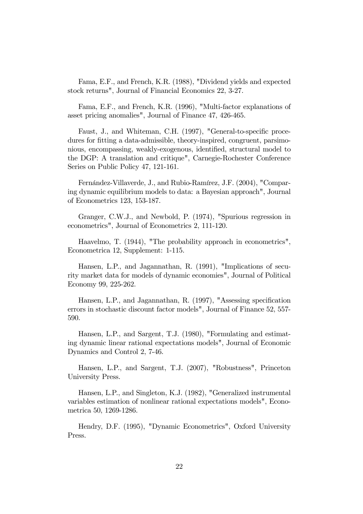Fama, E.F., and French, K.R. (1988), "Dividend yields and expected stock returns", Journal of Financial Economics 22, 3-27.

Fama, E.F., and French, K.R. (1996), "Multi-factor explanations of asset pricing anomalies", Journal of Finance 47, 426-465.

Faust, J., and Whiteman, C.H. (1997), "General-to-specific procedures for fitting a data-admissible, theory-inspired, congruent, parsimonious, encompassing, weakly-exogenous, identified, structural model to the DGP: A translation and critique", Carnegie-Rochester Conference Series on Public Policy 47, 121-161.

Fernández-Villaverde, J., and Rubio-Ramírez, J.F. (2004), "Comparing dynamic equilibrium models to data: a Bayesian approach", Journal of Econometrics 123, 153-187.

Granger, C.W.J., and Newbold, P. (1974), "Spurious regression in econometrics", Journal of Econometrics 2, 111-120.

Haavelmo, T. (1944), "The probability approach in econometrics", Econometrica 12, Supplement: 1-115.

Hansen, L.P., and Jagannathan, R. (1991), "Implications of security market data for models of dynamic economies", Journal of Political Economy 99, 225-262.

Hansen, L.P., and Jagannathan, R. (1997), "Assessing specification errors in stochastic discount factor models", Journal of Finance 52, 557- 590.

Hansen, L.P., and Sargent, T.J. (1980), "Formulating and estimating dynamic linear rational expectations models", Journal of Economic Dynamics and Control 2, 7-46.

Hansen, L.P., and Sargent, T.J. (2007), "Robustness", Princeton University Press.

Hansen, L.P., and Singleton, K.J. (1982), "Generalized instrumental variables estimation of nonlinear rational expectations models", Econometrica 50, 1269-1286.

Hendry, D.F. (1995), "Dynamic Econometrics", Oxford University Press.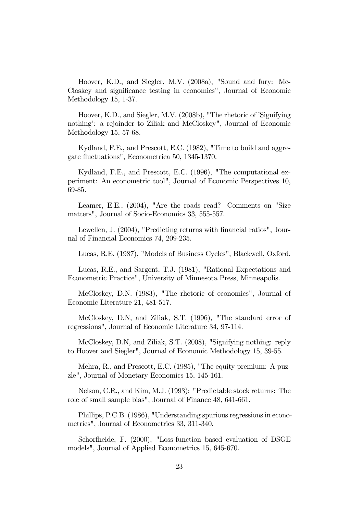Hoover, K.D., and Siegler, M.V. (2008a), "Sound and fury: Mc-Closkey and significance testing in economics", Journal of Economic Methodology 15, 1-37.

Hoover, K.D., and Siegler, M.V. (2008b), "The rhetoric of 'Signifying nothing': a rejoinder to Ziliak and McCloskey", Journal of Economic Methodology 15, 57-68.

Kydland, F.E., and Prescott, E.C. (1982), "Time to build and aggregate fluctuations", Econometrica 50, 1345-1370.

Kydland, F.E., and Prescott, E.C. (1996), "The computational experiment: An econometric tool", Journal of Economic Perspectives 10, 69-85.

Leamer, E.E., (2004), "Are the roads read? Comments on "Size matters", Journal of Socio-Economics 33, 555-557.

Lewellen, J. (2004), "Predicting returns with financial ratios", Journal of Financial Economics 74, 209-235.

Lucas, R.E. (1987), "Models of Business Cycles", Blackwell, Oxford.

Lucas, R.E., and Sargent, T.J. (1981), "Rational Expectations and Econometric Practice", University of Minnesota Press, Minneapolis.

McCloskey, D.N. (1983), "The rhetoric of economics", Journal of Economic Literature 21, 481-517.

McCloskey, D.N, and Ziliak, S.T. (1996), "The standard error of regressions", Journal of Economic Literature 34, 97-114.

McCloskey, D.N, and Ziliak, S.T. (2008), "Signifying nothing: reply to Hoover and Siegler", Journal of Economic Methodology 15, 39-55.

Mehra, R., and Prescott, E.C. (1985), "The equity premium: A puzzle", Journal of Monetary Economics 15, 145-161.

Nelson, C.R., and Kim, M.J. (1993): "Predictable stock returns: The role of small sample bias", Journal of Finance 48, 641-661.

Phillips, P.C.B. (1986), "Understanding spurious regressions in econometrics", Journal of Econometrics 33, 311-340.

Schorfheide, F. (2000), "Loss-function based evaluation of DSGE models", Journal of Applied Econometrics 15, 645-670.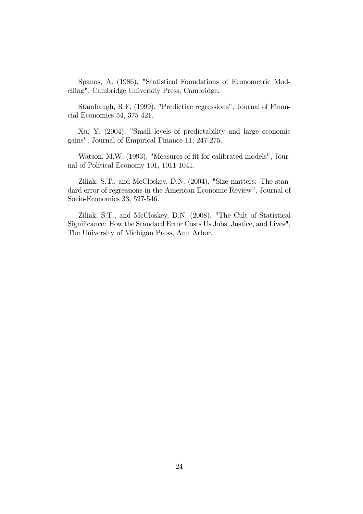Spanos, A. (1986), "Statistical Foundations of Econometric Modelling", Cambridge University Press, Cambridge.

Stambaugh, R.F. (1999), "Predictive regressions", Journal of Financial Economics 54, 375-421.

Xu, Y. (2004), "Small levels of predictability and large economic gains", Journal of Empirical Finance 11, 247-275.

Watson, M.W. (1993), "Measures of fit for calibrated models", Journal of Political Economy 101, 1011-1041.

Ziliak, S.T., and McCloskey, D.N. (2004), "Size matters: The standard error of regressions in the American Economic Review", Journal of Socio-Economics 33, 527-546.

Ziliak, S.T., and McCloskey, D.N. (2008), "The Cult of Statistical Significance: How the Standard Error Costs Us Jobs, Justice, and Lives", The University of Michigan Press, Ann Arbor.